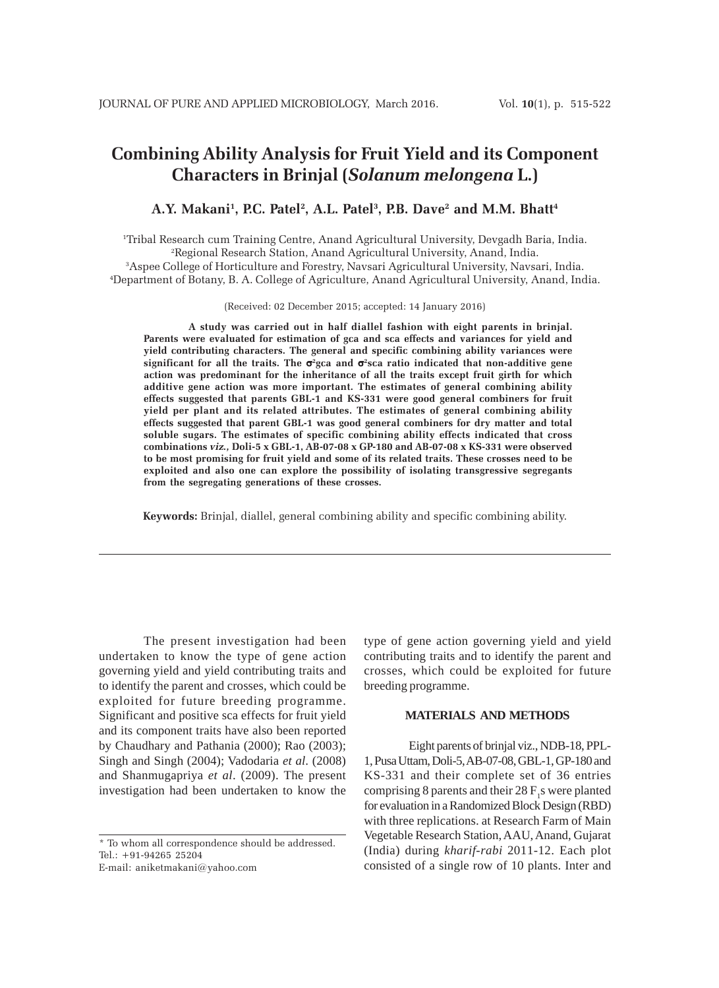# **Combining Ability Analysis for Fruit Yield and its Component Characters in Brinjal (***Solanum melongena* **L.)**

# A.Y. Makani<sup>1</sup>, P.C. Patel<sup>2</sup>, A.L. Patel<sup>3</sup>, P.B. Dave<sup>2</sup> and M.M. Bhatt<sup>4</sup>

 Tribal Research cum Training Centre, Anand Agricultural University, Devgadh Baria, India. Regional Research Station, Anand Agricultural University, Anand, India. Aspee College of Horticulture and Forestry, Navsari Agricultural University, Navsari, India. Department of Botany, B. A. College of Agriculture, Anand Agricultural University, Anand, India.

(Received: 02 December 2015; accepted: 14 January 2016)

**A study was carried out in half diallel fashion with eight parents in brinjal. Parents were evaluated for estimation of gca and sca effects and variances for yield and yield contributing characters. The general and specific combining ability variances were significant for all the traits. The** σ**<sup>2</sup> gca and** σ**2sca ratio indicated that non-additive gene action was predominant for the inheritance of all the traits except fruit girth for which additive gene action was more important. The estimates of general combining ability effects suggested that parents GBL-1 and KS-331 were good general combiners for fruit yield per plant and its related attributes. The estimates of general combining ability effects suggested that parent GBL-1 was good general combiners for dry matter and total soluble sugars. The estimates of specific combining ability effects indicated that cross combinations** *viz.,* **Doli-5 x GBL-1, AB-07-08 x GP-180 and AB-07-08 x KS-331 were observed to be most promising for fruit yield and some of its related traits. These crosses need to be exploited and also one can explore the possibility of isolating transgressive segregants from the segregating generations of these crosses.**

**Keywords:** Brinjal, diallel, general combining ability and specific combining ability.

The present investigation had been undertaken to know the type of gene action governing yield and yield contributing traits and to identify the parent and crosses, which could be exploited for future breeding programme. Significant and positive sca effects for fruit yield and its component traits have also been reported by Chaudhary and Pathania (2000); Rao (2003); Singh and Singh (2004); Vadodaria *et al*. (2008) and Shanmugapriya *et al*. (2009). The present investigation had been undertaken to know the

\* To whom all correspondence should be addressed. Tel.: +91-94265 25204 E-mail: aniketmakani@yahoo.com

type of gene action governing yield and yield contributing traits and to identify the parent and crosses, which could be exploited for future breeding programme.

### **MATERIALS AND METHODS**

Eight parents of brinjal viz., NDB-18, PPL-1, Pusa Uttam, Doli-5, AB-07-08, GBL-1, GP-180 and KS-331 and their complete set of 36 entries comprising 8 parents and their  $28 F<sub>1</sub>$ s were planted for evaluation in a Randomized Block Design (RBD) with three replications. at Research Farm of Main Vegetable Research Station, AAU, Anand, Gujarat (India) during *kharif-rabi* 2011-12. Each plot consisted of a single row of 10 plants. Inter and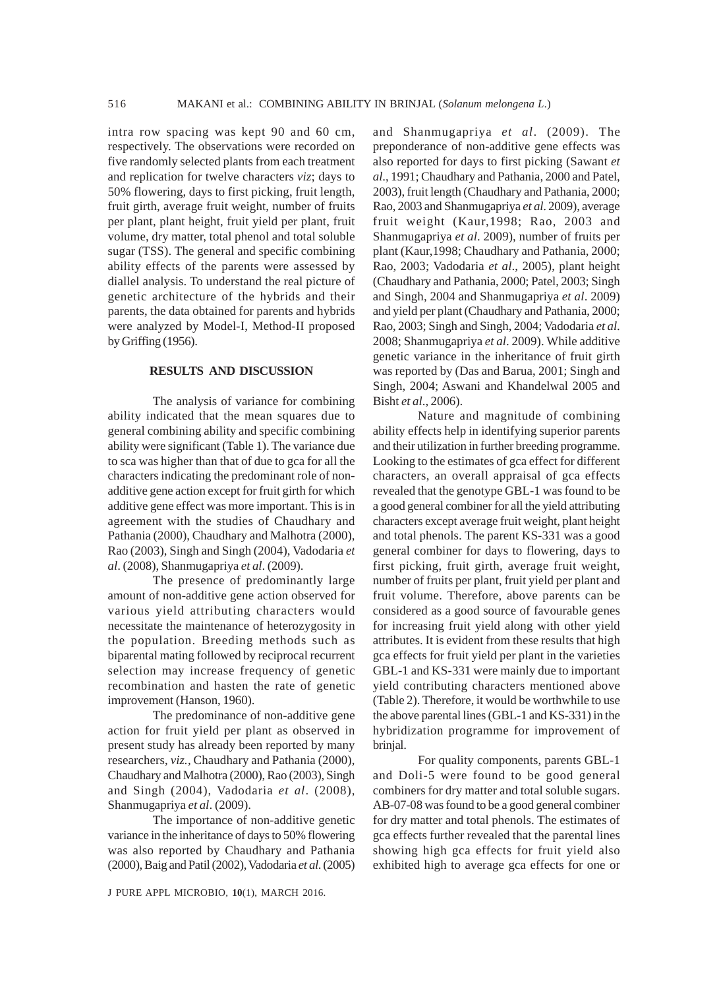intra row spacing was kept 90 and 60 cm, respectively. The observations were recorded on five randomly selected plants from each treatment and replication for twelve characters *viz*; days to 50% flowering, days to first picking, fruit length, fruit girth, average fruit weight, number of fruits per plant, plant height, fruit yield per plant, fruit volume, dry matter, total phenol and total soluble sugar (TSS). The general and specific combining ability effects of the parents were assessed by diallel analysis. To understand the real picture of genetic architecture of the hybrids and their parents, the data obtained for parents and hybrids were analyzed by Model-I, Method-II proposed by Griffing (1956).

# **RESULTS AND DISCUSSION**

The analysis of variance for combining ability indicated that the mean squares due to general combining ability and specific combining ability were significant (Table 1). The variance due to sca was higher than that of due to gca for all the characters indicating the predominant role of nonadditive gene action except for fruit girth for which additive gene effect was more important. This is in agreement with the studies of Chaudhary and Pathania (2000), Chaudhary and Malhotra (2000), Rao (2003), Singh and Singh (2004), Vadodaria *et al*. (2008), Shanmugapriya *et al*. (2009).

The presence of predominantly large amount of non-additive gene action observed for various yield attributing characters would necessitate the maintenance of heterozygosity in the population. Breeding methods such as biparental mating followed by reciprocal recurrent selection may increase frequency of genetic recombination and hasten the rate of genetic improvement (Hanson, 1960).

The predominance of non-additive gene action for fruit yield per plant as observed in present study has already been reported by many researchers, *viz.,* Chaudhary and Pathania (2000), Chaudhary and Malhotra (2000), Rao (2003), Singh and Singh (2004), Vadodaria *et al*. (2008), Shanmugapriya *et al*. (2009).

The importance of non-additive genetic variance in the inheritance of days to 50% flowering was also reported by Chaudhary and Pathania (2000), Baig and Patil (2002), Vadodaria *et al*. (2005)

and Shanmugapriya *et al*. (2009). The preponderance of non-additive gene effects was also reported for days to first picking (Sawant *et al*., 1991; Chaudhary and Pathania, 2000 and Patel, 2003), fruit length (Chaudhary and Pathania, 2000; Rao, 2003 and Shanmugapriya *et al*. 2009), average fruit weight (Kaur,1998; Rao, 2003 and Shanmugapriya *et al*. 2009), number of fruits per plant (Kaur,1998; Chaudhary and Pathania, 2000; Rao, 2003; Vadodaria *et al*., 2005), plant height (Chaudhary and Pathania, 2000; Patel, 2003; Singh and Singh, 2004 and Shanmugapriya *et al*. 2009) and yield per plant (Chaudhary and Pathania, 2000; Rao, 2003; Singh and Singh, 2004; Vadodaria *et al*. 2008; Shanmugapriya *et al*. 2009). While additive genetic variance in the inheritance of fruit girth was reported by (Das and Barua, 2001; Singh and Singh, 2004; Aswani and Khandelwal 2005 and Bisht *et al*., 2006).

Nature and magnitude of combining ability effects help in identifying superior parents and their utilization in further breeding programme. Looking to the estimates of gca effect for different characters, an overall appraisal of gca effects revealed that the genotype GBL-1 was found to be a good general combiner for all the yield attributing characters except average fruit weight, plant height and total phenols. The parent KS-331 was a good general combiner for days to flowering, days to first picking, fruit girth, average fruit weight, number of fruits per plant, fruit yield per plant and fruit volume. Therefore, above parents can be considered as a good source of favourable genes for increasing fruit yield along with other yield attributes. It is evident from these results that high gca effects for fruit yield per plant in the varieties GBL-1 and KS-331 were mainly due to important yield contributing characters mentioned above (Table 2). Therefore, it would be worthwhile to use the above parental lines (GBL-1 and KS-331) in the hybridization programme for improvement of brinjal.

For quality components, parents GBL-1 and Doli-5 were found to be good general combiners for dry matter and total soluble sugars. AB-07-08 was found to be a good general combiner for dry matter and total phenols. The estimates of gca effects further revealed that the parental lines showing high gca effects for fruit yield also exhibited high to average gca effects for one or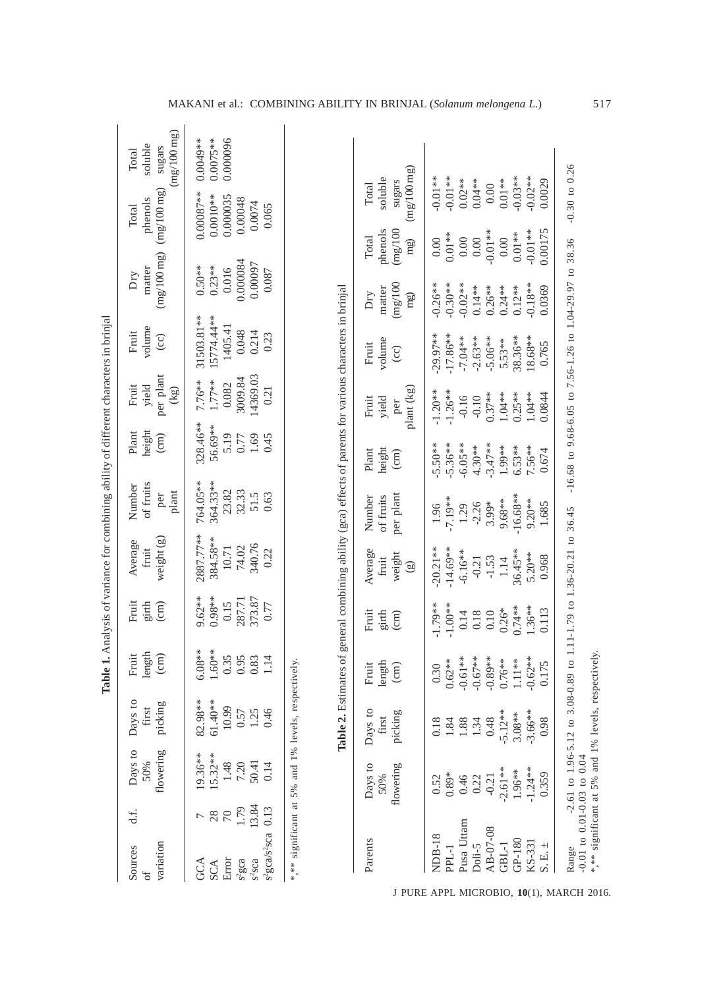|                                                                                                                                                            |                                                                                                         |         |                                                                                      |                                                                                                                                                                |                                                                                                                          |                                                                                                        |                                                                                           |                                                                                                       |                                                                                                         | Table 1. Analysis of variance for combining ability of different characters in brinjal                     |                                                                                                               |                                                                                                           |                                                                                                            |                                           |
|------------------------------------------------------------------------------------------------------------------------------------------------------------|---------------------------------------------------------------------------------------------------------|---------|--------------------------------------------------------------------------------------|----------------------------------------------------------------------------------------------------------------------------------------------------------------|--------------------------------------------------------------------------------------------------------------------------|--------------------------------------------------------------------------------------------------------|-------------------------------------------------------------------------------------------|-------------------------------------------------------------------------------------------------------|---------------------------------------------------------------------------------------------------------|------------------------------------------------------------------------------------------------------------|---------------------------------------------------------------------------------------------------------------|-----------------------------------------------------------------------------------------------------------|------------------------------------------------------------------------------------------------------------|-------------------------------------------|
| variation<br>Sources                                                                                                                                       | flowering<br>50%<br>d.f.                                                                                | Days to | Days to<br>picking<br>first                                                          | length<br>Fruit<br>$\text{cm}$                                                                                                                                 | Fruit<br>$\frac{1}{2}$ in $\frac{1}{2}$                                                                                  | weight (g)<br>Average<br>fruit                                                                         | of fruits<br>Number<br>plant<br>per                                                       | Plant<br>height<br>$\rm \, (cm)$                                                                      | per plant<br>Fruit<br>yield<br>(kg)                                                                     | volume<br>Fruit<br>$\odot$                                                                                 | (mg/100 mg)<br>matter<br>Dry                                                                                  |                                                                                                           | (mg/100 mg)<br>phenols<br>Total                                                                            | (mg/100 mg)<br>soluble<br>sugars<br>Total |
| <sup>2</sup> gca/s <sup>2</sup> sca<br>$\begin{array}{lcl} \text{GCA} \\ \text{SCA} \\ \text{Error} \\ s^2\text{gca} \\ s^3\text{sca} \end{array}$         | 19.36**<br>15.32**<br>$\frac{148}{7.20}$<br>50.41<br>50.14<br>1.79<br>13.84<br>0.13<br>28<br>$\sqrt{2}$ |         | $82.98**$<br>61.40**<br>$\begin{array}{c} 10.99 \\ 0.57 \\ 1.25 \\ 0.46 \end{array}$ | $6.08**$<br>$1.60**$<br>0.35<br>0.95<br>$0.83\,$<br>1.14                                                                                                       | 9.62**<br>$0.98**$<br>$\begin{array}{c} 0.15 \\ 287.71 \\ 373.87 \\ 0.77 \end{array}$                                    | 2887.77**<br>384.58**<br>$\begin{array}{c} 10.71 \\ 74.02 \\ 340.76 \\ 0.22 \end{array}$               | 364.33**<br>764.05**<br>23.82<br>32.33<br>51.5<br>0.63                                    | 328.46**<br>56.69**<br>5.1845<br>0.77<br>0.45                                                         | 14369.03<br>$\frac{0.082}{3009.84}$<br>$1.77***$<br>7.76**<br>0.21                                      | 31503.81**<br>15774.44**<br>$1405.41$<br>$0.048$<br>$0.214$<br>$0.23$                                      | $0.016$<br>$0.000084$<br>$0.50***$<br>$0.23***$                                                               |                                                                                                           | $0.00087**$<br>$0.0010**$<br>0.000035<br>0.00048<br>0.0074<br>0.065                                        | $0.0075**$<br>0.000096<br>$0.0049**$      |
| *,** significant at 5% and 1% levels, respectively.                                                                                                        |                                                                                                         |         |                                                                                      |                                                                                                                                                                |                                                                                                                          |                                                                                                        |                                                                                           |                                                                                                       |                                                                                                         | Table 2. Estimates of general combining ability (gca) effects of parents for various characters in brinjal |                                                                                                               |                                                                                                           |                                                                                                            |                                           |
| Parents                                                                                                                                                    | Days to<br>flowering<br>50%                                                                             |         | Days to<br>picking<br>first                                                          | $\begin{array}{c} \text{length} \\ \text{(cm)} \end{array}$<br>Fruit                                                                                           | Fruit<br>$\frac{1}{2}$ infl                                                                                              | Average<br>weight<br>$\operatorname{fruit}$<br>$\circledS$                                             | per plant<br>of fruits<br>Number                                                          | $\begin{array}{c} \mathrm{height} \\ (\mathrm{cm}) \end{array}$<br>Plant                              | plant (kg)<br>Fruit<br>yield<br>per                                                                     | volume<br>Fruit<br>$\circ$                                                                                 | (mg/100)<br>matter<br>$\rm{Dry}$<br>mg)                                                                       | phenols<br>(mg/100)<br>Total<br>mg)                                                                       | $\left(\mathrm{mg}/100\,\mathrm{mg}\right)$<br>soluble<br>sugars<br>Total                                  |                                           |
| Pusa Uttam<br>Doli-5<br>AB-07-08<br><b>NDB-18</b><br>$GP-180$<br>$\begin{array}{l} \tt KS-331 \\ \tt S. \tt E. \pm \end{array}$<br>$\mbox{GBL-1}$<br>PPL-1 | $0.46$<br>$0.22$<br>$-0.21$<br>$-0.21$<br>$-0.51**$<br>$-1.24**$<br>$-1.24**$<br>$0.52$<br>$0.89*$      |         | 0.18<br>1.84<br>1.88<br>1.34<br>5.03**<br>3.08**<br>3.66**                           | $\begin{array}{c} 0.30 \\ 0.62^{**} \\ -0.61^{**} \\ -0.67^{**} \\ 0.76^{**} \\ 1.11^{**} \\ -0.62^{**} \\ 0.76^{**} \\ 0.11^{**} \\ 0.02^{**} \\ \end{array}$ | 1.79**<br>$-1.00**$<br>$1.36***$<br>$0.74***$<br>$0.26*$<br>0.113<br>0.10<br>$\begin{array}{c} 0.14 \\ 0.18 \end{array}$ | $-20.21**$<br>$-14.69**$<br>$-6.16**$<br>$-0.21$<br>$-1.53$<br>$1.14$<br>$36.45***$<br>5.20**<br>0.968 | 16.68**<br>$-7.19**$<br>9.68**<br>$9.20**$<br>$3.99*$<br>1.685<br>$-2.26$<br>1.96<br>1.29 | $-5.50**$<br>$-5.36***$<br>$-6.05***$<br>4.30**<br>$-3.47**$<br>1.99**<br>$6.53**$<br>7.56**<br>0.674 | $-1.20**$<br>$-1.26**$<br>$0.37***$<br>$0.25**$<br>$1.04**$<br>$1.04**$<br>0.0844<br>$-0.16$<br>$-0.10$ | 29.97**<br>$-17.86**$<br>$18.68***$<br>0.765<br>38.36**<br>$-7.04**$<br>$-2.63**$<br>$-5.06**$<br>5.53**   | $-0.30**$<br>$-0.02***$<br>$0.14**$<br>$-0.18***$<br>0.0369<br>$-0.26**$<br>$0.26**$<br>$0.24***$<br>$0.12**$ | $-0.01**$<br>0.00175<br>$-0.01**$<br>$0.01**$<br>$0.01**$<br>$0.00\,$<br>$0.00\,$<br>$0.00\,$<br>$0.00\,$ | $-0.01**$<br>0.02 **<br>0.04 **<br>$-0.03**$<br>$-0.02**$<br>$0.0029$<br>$-0.01**$<br>$0.01**$<br>$0.00\,$ |                                           |

MAKANI et al.: COMBINING ABILITY IN BRINJAL (*Solanum melongena L*.) 517

J PURE APPL MICROBIO*,* **10**(1), MARCH 2016.

Range -2.61 to 1.96-5.12 to 3.08-0.89 to 1.11-1.79 to 1.36-20.21 to 36.45 -16.68 to 9.68-6.05 to 7.56-1.26 to 1.04-29.97 to 38.36 -0.30 to 0.26

Range 2.61 to 1.96-5.12 to 3.08-0.89 to 1.11-1.79 to 1.36-20.21 to 36.45 -16.68 to 9.68-6.05 to 7.56-1.26 to 1.04-29.97 to 38.36 -0.30 to 0.26<br>-0.01 to 0.01-0.03 to 0.04<br>\*\*\* significant at 5% and 1% levels, respectively.

-0.01 to 0.01-0.03 to 0.04

\*,\*\* significant at 5% and 1% levels, respectively.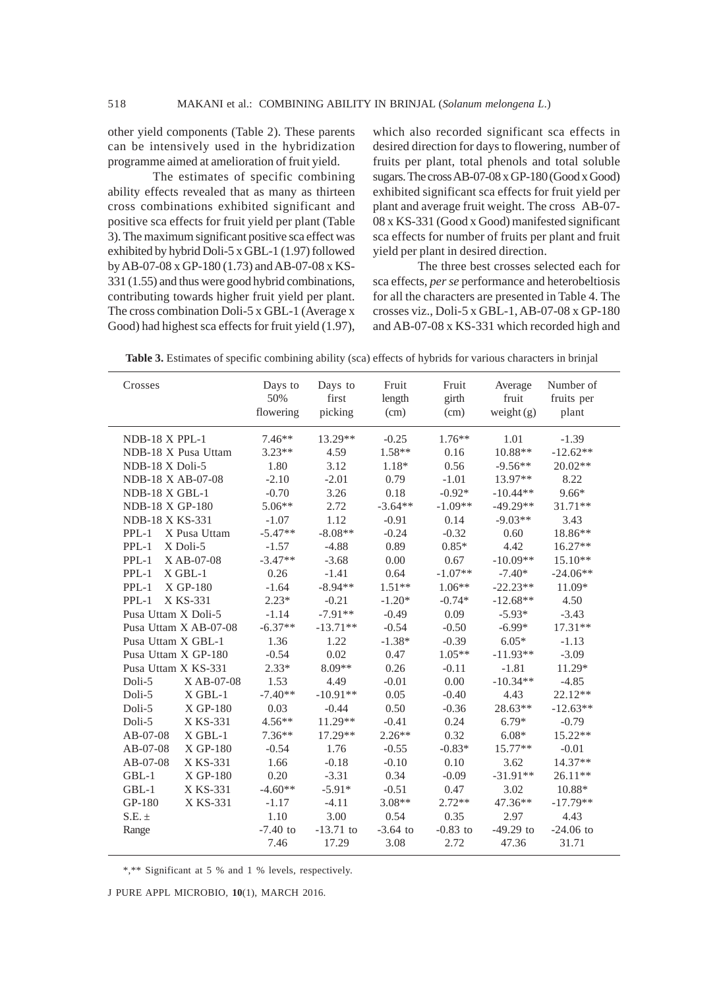other yield components (Table 2). These parents can be intensively used in the hybridization programme aimed at amelioration of fruit yield.

The estimates of specific combining ability effects revealed that as many as thirteen cross combinations exhibited significant and positive sca effects for fruit yield per plant (Table 3). The maximum significant positive sca effect was exhibited by hybrid Doli-5 x GBL-1 (1.97) followed by AB-07-08 x GP-180 (1.73) and AB-07-08 x KS-331 (1.55) and thus were good hybrid combinations, contributing towards higher fruit yield per plant. The cross combination Doli-5 x GBL-1 (Average x Good) had highest sca effects for fruit yield (1.97),

which also recorded significant sca effects in desired direction for days to flowering, number of fruits per plant, total phenols and total soluble sugars. The cross AB-07-08 x GP-180 (Good x Good) exhibited significant sca effects for fruit yield per plant and average fruit weight. The cross AB-07- 08 x KS-331 (Good x Good) manifested significant sca effects for number of fruits per plant and fruit yield per plant in desired direction.

The three best crosses selected each for sca effects, *per se* performance and heterobeltiosis for all the characters are presented in Table 4. The crosses viz., Doli-5 x GBL-1, AB-07-08 x GP-180 and AB-07-08 x KS-331 which recorded high and

**Table 3.** Estimates of specific combining ability (sca) effects of hybrids for various characters in brinjal

| Crosses                 | Days to<br>50%<br>flowering | Days to<br>first<br>picking | Fruit<br>length<br>(cm) | Fruit<br>girth<br>(cm) | Average<br>fruit<br>weight $(g)$ | Number of<br>fruits per<br>plant |
|-------------------------|-----------------------------|-----------------------------|-------------------------|------------------------|----------------------------------|----------------------------------|
| NDB-18 X PPL-1          | $7.46**$                    | 13.29**                     | $-0.25$                 | $1.76***$              | 1.01                             | $-1.39$                          |
| NDB-18 X Pusa Uttam     | $3.23**$                    | 4.59                        | $1.58**$                | 0.16                   | $10.88**$                        | $-12.62**$                       |
| NDB-18 X Doli-5         | 1.80                        | 3.12                        | 1.18*                   | 0.56                   | $-9.56**$                        | $20.02**$                        |
| NDB-18 X AB-07-08       | $-2.10$                     | $-2.01$                     | 0.79                    | $-1.01$                | $13.97**$                        | 8.22                             |
| NDB-18 X GBL-1          | $-0.70$                     | 3.26                        | 0.18                    | $-0.92*$               | $-10.44**$                       | $9.66*$                          |
| NDB-18 X GP-180         | $5.06**$                    | 2.72                        | $-3.64**$               | $-1.09**$              | $-49.29**$                       | $31.71**$                        |
| NDB-18 X KS-331         | $-1.07$                     | 1.12                        | $-0.91$                 | 0.14                   | $-9.03**$                        | 3.43                             |
| $PPL-1$<br>X Pusa Uttam | $-5.47**$                   | $-8.08**$                   | $-0.24$                 | $-0.32$                | 0.60                             | 18.86**                          |
| $PPL-1$<br>X Doli-5     | $-1.57$                     | $-4.88$                     | 0.89                    | $0.85*$                | 4.42                             | 16.27**                          |
| $PPL-1$<br>X AB-07-08   | $-3.47**$                   | $-3.68$                     | 0.00                    | 0.67                   | $-10.09**$                       | 15.10**                          |
| $PPL-1$<br>$X$ GBL-1    | 0.26                        | $-1.41$                     | 0.64                    | $-1.07**$              | $-7.40*$                         | $-24.06**$                       |
| X GP-180<br>$PPL-1$     | $-1.64$                     | $-8.94**$                   | $1.51**$                | $1.06**$               | $-22.23**$                       | 11.09*                           |
| $PPL-1$<br>X KS-331     | $2.23*$                     | $-0.21$                     | $-1.20*$                | $-0.74*$               | $-12.68**$                       | 4.50                             |
| Pusa Uttam X Doli-5     | $-1.14$                     | $-7.91**$                   | $-0.49$                 | 0.09                   | $-5.93*$                         | $-3.43$                          |
| Pusa Uttam X AB-07-08   | $-6.37**$                   | $-13.71**$                  | $-0.54$                 | $-0.50$                | $-6.99*$                         | 17.31**                          |
| Pusa Uttam X GBL-1      | 1.36                        | 1.22                        | $-1.38*$                | $-0.39$                | $6.05*$                          | $-1.13$                          |
| Pusa Uttam X GP-180     | $-0.54$                     | 0.02                        | 0.47                    | $1.05**$               | $-11.93**$                       | $-3.09$                          |
| Pusa Uttam X KS-331     | $2.33*$                     | 8.09**                      | 0.26                    | $-0.11$                | $-1.81$                          | 11.29*                           |
| Doli-5<br>XAB-07-08     | 1.53                        | 4.49                        | $-0.01$                 | 0.00                   | $-10.34**$                       | $-4.85$                          |
| Doli-5<br>$X$ GBL-1     | $-7.40**$                   | $-10.91**$                  | 0.05                    | $-0.40$                | 4.43                             | 22.12**                          |
| Doli-5<br>X GP-180      | 0.03                        | $-0.44$                     | 0.50                    | $-0.36$                | 28.63**                          | $-12.63**$                       |
| X KS-331<br>Doli-5      | $4.56**$                    | $11.29**$                   | $-0.41$                 | 0.24                   | $6.79*$                          | $-0.79$                          |
| AB-07-08<br>$X$ GBL-1   | $7.36**$                    | $17.29**$                   | $2.26**$                | 0.32                   | $6.08*$                          | $15.22**$                        |
| AB-07-08<br>X GP-180    | $-0.54$                     | 1.76                        | $-0.55$                 | $-0.83*$               | $15.77**$                        | $-0.01$                          |
| AB-07-08<br>X KS-331    | 1.66                        | $-0.18$                     | $-0.10$                 | 0.10                   | 3.62                             | $14.37**$                        |
| $GBL-1$<br>X GP-180     | 0.20                        | $-3.31$                     | 0.34                    | $-0.09$                | $-31.91**$                       | 26.11**                          |
| GBL-1<br>X KS-331       | $-4.60**$                   | $-5.91*$                    | $-0.51$                 | 0.47                   | 3.02                             | 10.88*                           |
| X KS-331<br>GP-180      | $-1.17$                     | $-4.11$                     | $3.08**$                | $2.72**$               | 47.36**                          | $-17.79**$                       |
| $S.E. \pm$              | 1.10                        | 3.00                        | 0.54                    | 0.35                   | 2.97                             | 4.43                             |
| Range                   | $-7.40$ to                  | $-13.71$ to                 | $-3.64$ to              | $-0.83$ to             | $-49.29$ to                      | $-24.06$ to                      |
|                         | 7.46                        | 17.29                       | 3.08                    | 2.72                   | 47.36                            | 31.71                            |

\*,\*\* Significant at 5 % and 1 % levels, respectively.

J PURE APPL MICROBIO*,* **10**(1), MARCH 2016.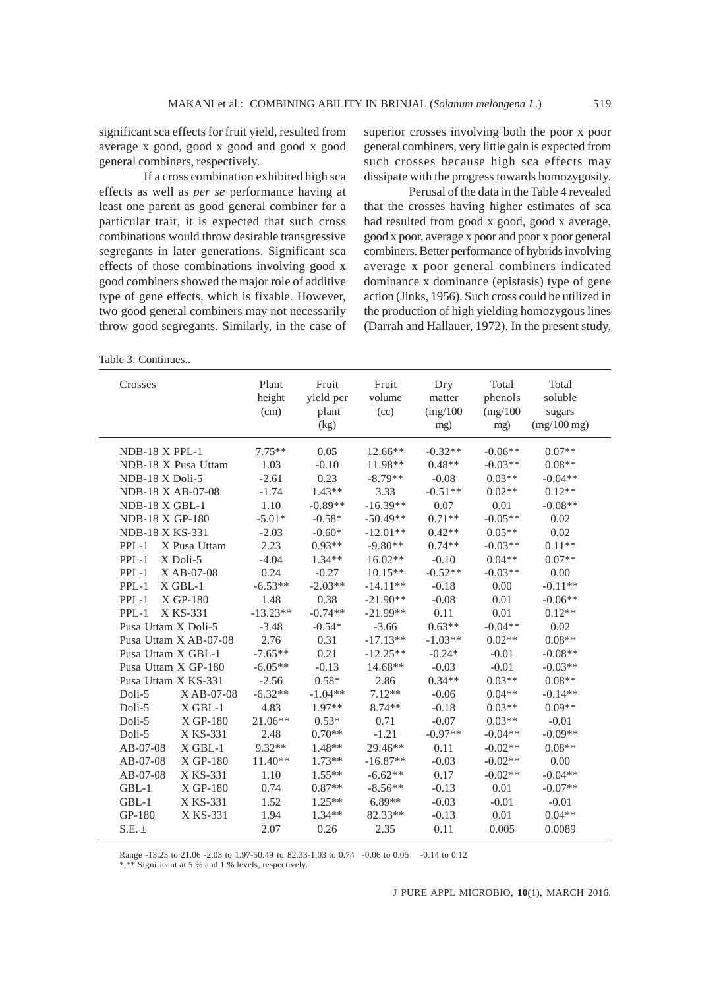significant sca effects for fruit yield, resulted from average x good, good x good and good x good general combiners, respectively.

If a cross combination exhibited high sca effects as well as *per se* performance having at least one parent as good general combiner for a particular trait, it is expected that such cross combinations would throw desirable transgressive segregants in later generations. Significant sca effects of those combinations involving good x good combiners showed the major role of additive type of gene effects, which is fixable. However, two good general combiners may not necessarily throw good segregants. Similarly, in the case of

superior crosses involving both the poor x poor general combiners, very little gain is expected from such crosses because high sca effects may dissipate with the progress towards homozygosity.

Perusal of the data in the Table 4 revealed that the crosses having higher estimates of sca had resulted from good x good, good x average, good x poor, average x poor and poor x poor general combiners. Better performance of hybrids involving average x poor general combiners indicated dominance x dominance (epistasis) type of gene action (Jinks, 1956). Such cross could be utilized in the production of high yielding homozygous lines (Darrah and Hallauer, 1972). In the present study,

Table 3. Continues..

| Crosses                    | Plant<br>height<br>(cm) | Fruit<br>yield per<br>plant<br>(kg) | Fruit<br>volume<br>(cc) | Dry<br>matter<br>(mg/100)<br>mg) | Total<br>phenols<br>(mg/100)<br>mg) | Total<br>soluble<br>sugars<br>$(mg/100$ mg) |
|----------------------------|-------------------------|-------------------------------------|-------------------------|----------------------------------|-------------------------------------|---------------------------------------------|
| $NDB-18$ X PPL-1           | $7.75**$                | 0.05                                | 12.66**                 | $-0.32**$                        | $-0.06**$                           | $0.07**$                                    |
| NDB-18 X Pusa Uttam        | 1.03                    | $-0.10$                             | 11.98**                 | $0.48**$                         | $-0.03**$                           | $0.08**$                                    |
| NDB-18 X Doli-5            | $-2.61$                 | 0.23                                | $-8.79**$               | $-0.08$                          | $0.03**$                            | $-0.04**$                                   |
| NDB-18 X AB-07-08          | $-1.74$                 | $1.43**$                            | 3.33                    | $-0.51**$                        | $0.02**$                            | $0.12**$                                    |
| $NDB-18$ X GBL-1           | 1.10                    | $-0.89**$                           | $-16.39**$              | 0.07                             | 0.01                                | $-0.08**$                                   |
| NDB-18 X GP-180            | $-5.01*$                | $-0.58*$                            | $-50.49**$              | $0.71**$                         | $-0.05**$                           | 0.02                                        |
| <b>NDB-18 X KS-331</b>     | $-2.03$                 | $-0.60*$                            | $-12.01**$              | $0.42**$                         | $0.05**$                            | 0.02                                        |
| X Pusa Uttam<br>$PPL-1$    | 2.23                    | $0.93**$                            | $-9.80**$               | $0.74**$                         | $-0.03**$                           | $0.11**$                                    |
| $PPI - 1$<br>$X$ Doli-5    | $-4.04$                 | $1.34**$                            | $16.02**$               | $-0.10$                          | $0.04**$                            | $0.07**$                                    |
| $PPL-1$<br>$X$ AB-07-08    | 0.24                    | $-0.27$                             | $10.15**$               | $-0.52**$                        | $-0.03**$                           | 0.00                                        |
| $X$ GBL-1<br>$PPL-1$       | $-6.53**$               | $-2.03**$                           | $-14.11**$              | $-0.18$                          | 0.00                                | $-0.11**$                                   |
| X GP-180<br>$PPL-1$        | 1.48                    | 0.38                                | $-21.90**$              | $-0.08$                          | 0.01                                | $-0.06**$                                   |
| X KS-331<br>$PPI - 1$      | $-13.23**$              | $-0.74**$                           | $-21.99**$              | 0.11                             | 0.01                                | $0.12**$                                    |
| Pusa Uttam X Doli-5        | $-3.48$                 | $-0.54*$                            | $-3.66$                 | $0.63**$                         | $-0.04**$                           | 0.02                                        |
| Pusa Uttam X AB-07-08      | 2.76                    | 0.31                                | $-17.13**$              | $-1.03**$                        | $0.02**$                            | $0.08**$                                    |
| Pusa Uttam X GBL-1         | $-7.65**$               | 0.21                                | $-12.25**$              | $-0.24*$                         | $-0.01$                             | $-0.08**$                                   |
| Pusa Uttam X GP-180        | $-6.05**$               | $-0.13$                             | $14.68**$               | $-0.03$                          | $-0.01$                             | $-0.03**$                                   |
| Pusa Uttam X KS-331        | $-2.56$                 | $0.58*$                             | 2.86                    | $0.34**$                         | $0.03**$                            | $0.08**$                                    |
| Doli-5<br>XAB-07-08        | $-6.32**$               | $-1.04**$                           | $7.12**$                | $-0.06$                          | $0.04**$                            | $-0.14**$                                   |
| $X$ GBL-1<br>Doli-5        | 4.83                    | $1.97**$                            | $8.74**$                | $-0.18$                          | $0.03**$                            | $0.09**$                                    |
| Doli-5<br>$XGP-180$        | 21.06**                 | $0.53*$                             | 0.71                    | $-0.07$                          | $0.03**$                            | $-0.01$                                     |
| X KS-331<br>Doli-5         | 2.48                    | $0.70**$                            | $-1.21$                 | $-0.97**$                        | $-0.04**$                           | $-0.09**$                                   |
| $X$ GBL-1<br>$AB-07-08$    | $9.32**$                | $1.48**$                            | 29.46**                 | 0.11                             | $-0.02**$                           | $0.08**$                                    |
| $AB - 07 - 08$<br>X GP-180 | $11.40**$               | $1.73**$                            | $-16.87**$              | $-0.03$                          | $-0.02**$                           | 0.00                                        |
| $AB - 07 - 08$<br>X KS-331 | 1.10                    | $1.55**$                            | $-6.62**$               | 0.17                             | $-0.02**$                           | $-0.04**$                                   |
| X GP-180<br>$GBL-1$        | 0.74                    | $0.87**$                            | $-8.56**$               | $-0.13$                          | 0.01                                | $-0.07**$                                   |
| $GBL-1$<br>X KS-331        | 1.52                    | $1.25**$                            | $6.89**$                | $-0.03$                          | $-0.01$                             | $-0.01$                                     |
| GP-180<br>X KS-331         | 1.94                    | $1.34**$                            | 82.33**                 | $-0.13$                          | 0.01                                | $0.04**$                                    |
| $S.E. \pm$                 | 2.07                    | 0.26                                | 2.35                    | 0.11                             | 0.005                               | 0.0089                                      |

Range -13.23 to 21.06 -2.03 to 1.97-50.49 to 82.33-1.03 to 0.74 -0.06 to 0.05 -0.14 to 0.12

\*,\*\* Significant at 5 % and 1 % levels, respectively.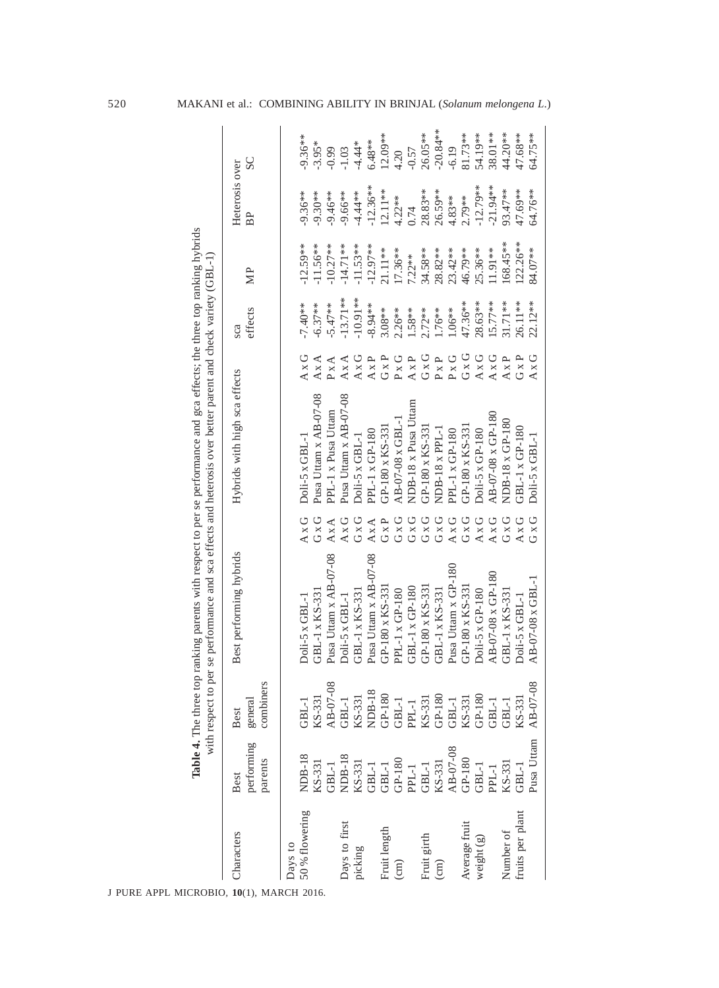| APPL MICROBIO, 10(1),<br>J PURE |                               |                              | Table 4. The three top ranking parents with respect to per se performance and gca effects; the three top ranking hybrids |              |                               |              |                |            |                      |            |
|---------------------------------|-------------------------------|------------------------------|--------------------------------------------------------------------------------------------------------------------------|--------------|-------------------------------|--------------|----------------|------------|----------------------|------------|
|                                 |                               |                              | with respect to per se performance and sca effects and heterosis over better parent and check variety (GBL-1)            |              |                               |              |                |            |                      |            |
| Characters                      | performing<br>parents<br>Best | combiners<br>general<br>Best | Best performing hybrids                                                                                                  |              | Hybrids with high sca effects |              | effects<br>sca | МP         | Heterosis over<br>BP | SC         |
| Days to<br><b>MARCH 2016.</b>   |                               |                              |                                                                                                                          |              |                               |              |                |            |                      |            |
| 50% flowering                   | <b>NDB-18</b>                 | GBL-1                        | $Doli-5 \times GBL-1$                                                                                                    | $A \times G$ | $Doli-5 \times GBL-1$         | $A \times G$ | $-7.40**$      | $-12.59**$ | $-9.36**$            | $-9.36**$  |
|                                 | KS-331                        | KS-331                       | GBL-1 x KS-331                                                                                                           | $G \times G$ | Pusa Uttam x AB-07-08         | $A \times A$ | $-6.37**$      | $-11.56**$ | $-9.30**$            | $-3.95*$   |
|                                 | GBL-1                         | $A_{B-O7-08}$                | Pusa Uttam x AB-07-08                                                                                                    | A X A        | PPL-1 x Pusa Uttam            | $P \times A$ | $5.47**$       | $-10.27**$ | $-9.46**$            | $-0.99$    |
| Days to first                   | NDB-18                        | $GBL-1$                      | Doli-5 x GBL-1                                                                                                           | $A \times G$ | Pusa Uttam x AB-07-08         | $A \times A$ | $-13.71**$     | $-14.71**$ | $-9.66**$            | $-1.03$    |
| picking                         | KS-331                        | KS-331                       | GBL-1 x KS-331                                                                                                           | $G \times G$ | Doli-5 x GBL-1                | $A \times G$ | $-10.91**$     | $-11.53**$ | $4.44**$             | $-4.44*$   |
|                                 | GBL-1                         | <b>NDB-18</b>                | Pusa Uttam x AB-07-08                                                                                                    | $A \times A$ | PPL-1 x GP-180                | $A \times P$ | $-8.94**$      | $-12.97**$ | $-12.36**$           | $6.48**$   |
| Fruit length                    | $GBL-1$                       | $GP-180$                     | GP-180 x KS-331                                                                                                          | GXP          | GP-180 x KS-331               | $G \times P$ | $3.08**$       | 21.11**    | $12.11**$            | 12.09**    |
| $\binom{1}{2}$                  | $GP-180$                      | GBL-1                        | PPL-1 x GP-180                                                                                                           | G x G        | $AB-07-08 \times GBL-1$       | $P \times G$ | $2.26**$       | $17.36**$  | $4.22**$             | 4.20       |
|                                 | PPL-1                         | PPL-1                        | GBL-1 x GP-180                                                                                                           | $G \times G$ | NDB-18 x Pusa Uttam           | $A \times P$ | 1.58**         | $7.22**$   | 0.74                 | $-0.57$    |
| Fruit girth                     | GBL-1                         | KS-331                       | GP-180 x KS-33                                                                                                           | $G \times G$ | GP-180 x KS-33                | $G \times G$ | $2.72**$       | 34.58**    | $28.83**$            | 26.05**    |
| $\binom{cm}{c}$                 | KS-331                        | $GP-180$                     | GBL-1 x KS-331                                                                                                           | $G\times G$  | $NDB-18 \times PPL-1$         | $P \times P$ | 1.76**         | 28.82**    | 26.59**              | $-20.84**$ |
|                                 | AB-07-08                      | GBL-1                        | Pusa Uttam x GP-180                                                                                                      | $A \times G$ | PPL-1 x GP-180                | $\rm P$ x G  | 1.06**         | $23.42**$  | $4.83**$             | $-6.19$    |
| Average fruit                   | $GP-180$                      | KS-331                       | GP-180 x KS-331                                                                                                          | $G \times G$ | $GP-180 \times KS-331$        | $G \times G$ | 47.36**        | 46.79**    | $2.79**$             | 81.73**    |
| weight (g)                      | GBL-1                         | $GP-180$                     | Doli-5 x GP-180                                                                                                          | $A \times G$ | Doli-5 x GP-180               | AxG          | 28.63**        | 25.36**    | $-12.79**$           | 54.19**    |
|                                 | PPL-1                         | $GBL-1$                      | AB-07-08 x GP-180                                                                                                        | $A \times G$ | AB-07-08 x GP-180             | $A \times G$ | $15.77$ **     | $1.91**$   | $.21.94**$           | 38.01**    |
| Number of                       | KS-331                        | GBL-1                        | GBL-1 x KS-331                                                                                                           | GxG          | NDB-18 x GP-180               | $A \times P$ | $31.71***$     | 68.45**    | 93.47**              | 44.20**    |
| fruits per plant                | GBL-1                         | KS-331                       | Doli-5 x GBL-1                                                                                                           | $A \times G$ | GBL-1 x GP-180                | $G\times P$  | 26.11**        | $122.26**$ | 47.69**              | 47.68**    |
|                                 | Pusa Uttam                    | AB-07-08                     | $AB-07-08 \times GBL-1$                                                                                                  | $G \times G$ | $Doli-5 \times GBL-1$         | AxG          | $22.12**$      | 84.07**    | 64.76**              | 64.75**    |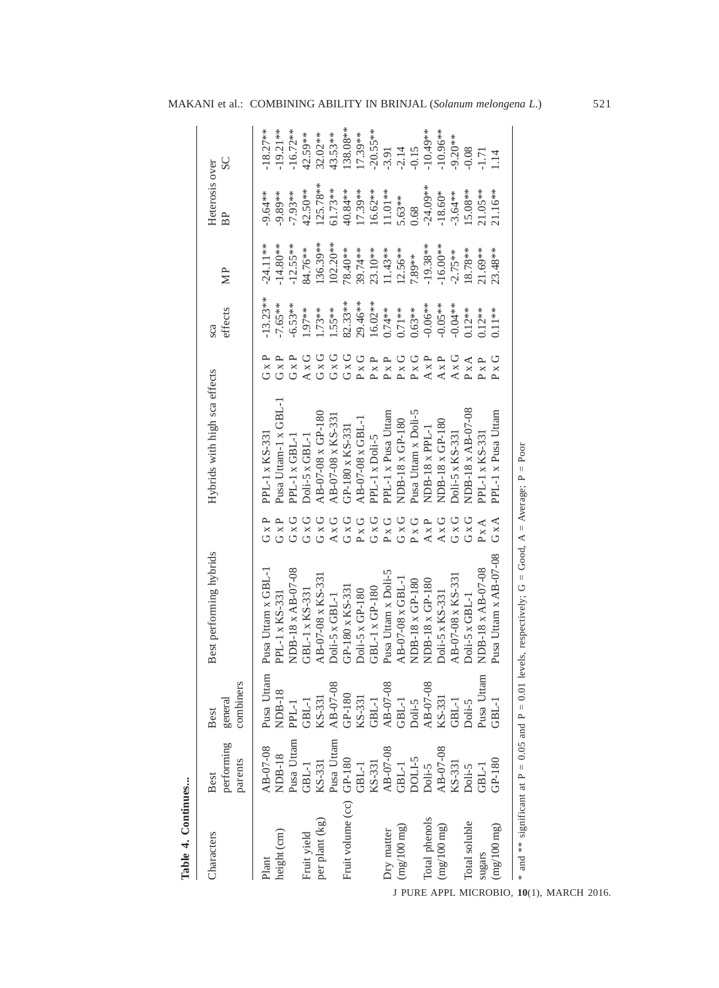| Table 4. Continues        |                               |                                  |                                                                                                   |                              |                                        |                                                |                         |                          |                         |                          |
|---------------------------|-------------------------------|----------------------------------|---------------------------------------------------------------------------------------------------|------------------------------|----------------------------------------|------------------------------------------------|-------------------------|--------------------------|-------------------------|--------------------------|
| Characters                | performing<br>parents<br>Best | 8<br>combiner<br>general<br>Best | Best performing hybrids                                                                           |                              | Hybrids with high sca effects          |                                                | effects<br>sca          | $\mathbb{N}P$            | Heterosis over<br>BP    | SC                       |
| height (cm)<br>Plant      | AB-07-08<br><b>NDB-18</b>     | Pusa Uttam<br>NDB-18             | Pusa Uttam x GBL-1<br>PPL-1 x KS-331                                                              | $G \times P$<br>GXP          | Pusa Uttam-1 x GBL-1<br>PPL-1 x KS-331 | GXP<br>$G \times P$                            | $-13.23**$<br>$-7.65**$ | $-24.11**$<br>$-14.80**$ | 9.64**<br>$-9.89**$     | $-18.27**$<br>19.21**    |
| Fruit yield               | Pusa Uttam<br>$GBL-1$         | $GBL-1$<br>PPL-1                 | NDB-18 x AB-07-08<br>GBL-1 x KS-331                                                               | $G \times G$<br>$G \times G$ | PPL-1 x GBL-1<br>Doli-5 x GBL-1        | AxG<br>GxP                                     | $-6.53**$<br>$.97**$    | $-12.55**$<br>84.76**    | 42.50**<br>$-7.93**$    | 16.72**<br>42.59**       |
| per plant (kg)            | Pusa Uttam<br>KS-331          | AB-07-08<br>KS-331               | AB-07-08 x KS-331<br>$Doli-5 \times GBL-1$                                                        | $G \times G$<br>AxG          | AB-07-08 x GP-180<br>AB-07-08 x KS-33  | $G \times G$<br>$G \times G$                   | 1.55**<br>$.73**$       | $102.20**$<br>136.39**   | $125.78**$<br>$61.73**$ | 43.53**<br>32.02**       |
| Fruit volume (cc) GP-180  | $GBL-1$                       | $GP-180$<br>KS-331               | GP-180 x KS-33<br>Doli-5 x GP-180                                                                 | $G \times G$<br>$P \times G$ | AB-07-08 x GBL-<br>GP-180 x KS-33      | $G \times G$<br>P X G                          | $82.33**$<br>29.46**    | 78.40**<br>39.74**       | 40.84 **<br>17.39**     | $138.08**$<br>17.39**    |
|                           | KS-331                        | $GBL-1$                          | GBL-1 x GP-180                                                                                    | $G \times G$                 | PPL-1 x Doli-5                         | ≏<br>$P_{\rm X}$ ]                             | $16.02**$               | 23.10**                  | 16.62**                 | $-20.55**$               |
| (mg/100 mg)<br>Dry matter | AB-07-08<br>$\mbox{GBL-1}$    | AB-07-08<br>$GBL-1$              | Pusa Uttam x Doli-5<br>$AD-07-08 \times GBL-1$                                                    | $G \times G$<br>$P \times G$ | PPL-1 x Pusa Uttam<br>NDB-18 x GP-180  | $P \times G$<br>$\mathbf{r}$<br>$\overline{P}$ | $0.74***$<br>$0.71**$   | $1.43**$<br>$12.56**$    | $11.01**$<br>5.63**     | $-2.14$<br>$-3.91$       |
|                           | <b>S-ITIOC</b>                | Doli-5                           | NDB-18 x GP-180                                                                                   | $P \times G$                 | Pusa Uttam x Doli-5                    | $P \times G$                                   | $0.63**$                | 7.89**                   | 0.68                    | $-0.15$                  |
| Total phenols             | Doli-5                        | AB-07-08<br>KS-331               | NDB-18 x GP-180                                                                                   | $A \times P$                 | NDB-18 x PPL-1                         | $A \times P$                                   | $-0.06**$               | $-19.38**$               | $-24.09**$              | $-10.49**$               |
| (mg/100 mg)               | AB-07-08                      |                                  | Doli-5 x KS-331                                                                                   | $A \times G$                 | NDB-18 x GP-180                        | $A \times P$                                   | $-0.05**$               | $-16.00**$               | 18.60*                  | $10.96**$                |
|                           | KS-331                        | $GBL-1$                          | AB-07-08 x KS-33                                                                                  | $G\times G$                  | Doli-5 x KS-331                        | AxG                                            | $0.04**$                | $2.75**$                 | $-3.64**$               | $-9.20**$                |
| Total soluble<br>sugars   | Doli-5<br>$GBL-1$             | Pusa Uttam<br>Doli-5             | NDB-18 x AB-07-08<br>$Doli-5 \times GBL-1$                                                        | $G \times G$<br>$P \times A$ | NDB-18 x AB-07-08<br>PPL-1 x KS-33     | $P \times A$<br>$P \times P$                   | $0.12**$<br>$0.12**$    | 18.78**<br>21.69**       | $15.08**$<br>$21.05**$  | 0.08<br>1.71             |
| (mg/100 mg)               | $GP-180$                      | GBL-1                            | Pusa Uttam x AB-07-08                                                                             | $G \times A$                 | PPL-1 x Pusa Uttam                     | $P \times G$                                   | $0.11**$                | $23.48**$                | 21.16**                 | $\overline{\phantom{0}}$ |
|                           |                               |                                  | and ** significant at P = 0.05 and P = 0.01 levels, respectively; G = Good, A = Average; P = Poor |                              |                                        |                                                |                         |                          |                         |                          |

MAKANI et al.: COMBINING ABILITY IN BRINJAL (*Solanum melongena L*.) 521

J PURE APPL MICROBIO*,* **10**(1), MARCH 2016.